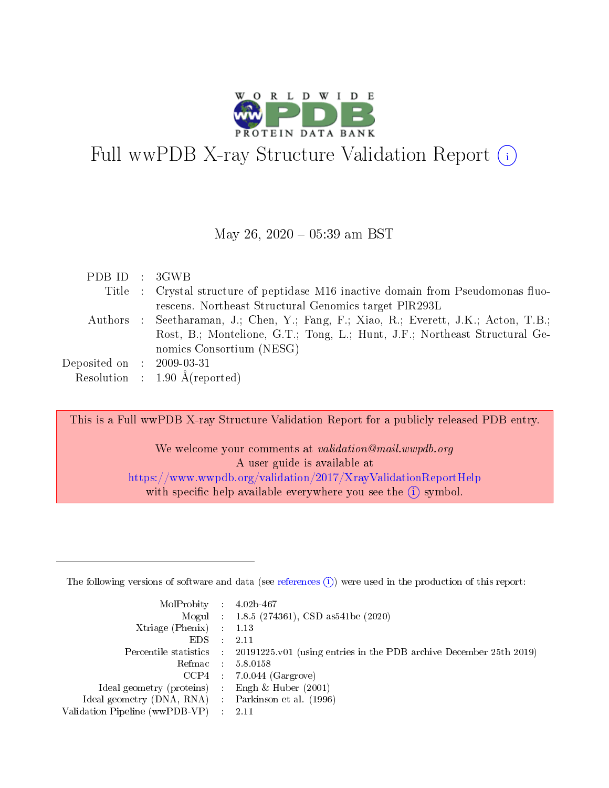

# Full wwPDB X-ray Structure Validation Report (i)

#### May 26,  $2020 - 05:39$  am BST

| PDB ID : 3GWB                       |                                                                                      |
|-------------------------------------|--------------------------------------------------------------------------------------|
|                                     | Title : Crystal structure of peptidase M16 inactive domain from Pseudomonas fluo-    |
|                                     | rescens. Northeast Structural Genomics target PIR293L                                |
|                                     | Authors : Seetharaman, J.; Chen, Y.; Fang, F.; Xiao, R.; Everett, J.K.; Acton, T.B.; |
|                                     | Rost, B.; Montelione, G.T.; Tong, L.; Hunt, J.F.; Northeast Structural Ge-           |
|                                     | nomics Consortium (NESG)                                                             |
| Deposited on $\;$ : 2009-03-31 $\;$ |                                                                                      |
|                                     | Resolution : $1.90 \text{ Å}$ (reported)                                             |

This is a Full wwPDB X-ray Structure Validation Report for a publicly released PDB entry.

We welcome your comments at validation@mail.wwpdb.org A user guide is available at <https://www.wwpdb.org/validation/2017/XrayValidationReportHelp> with specific help available everywhere you see the  $(i)$  symbol.

The following versions of software and data (see [references](https://www.wwpdb.org/validation/2017/XrayValidationReportHelp#references)  $(1)$ ) were used in the production of this report:

| MolProbity : $4.02b-467$                            |               |                                                                                            |
|-----------------------------------------------------|---------------|--------------------------------------------------------------------------------------------|
|                                                     |               | Mogul : $1.8.5$ (274361), CSD as 541be (2020)                                              |
| Xtriage (Phenix) $: 1.13$                           |               |                                                                                            |
| EDS.                                                | $\mathcal{L}$ | 2.11                                                                                       |
|                                                     |               | Percentile statistics : 20191225.v01 (using entries in the PDB archive December 25th 2019) |
| Refmac 5.8.0158                                     |               |                                                                                            |
|                                                     |               | $CCP4$ : 7.0.044 (Gargrove)                                                                |
| Ideal geometry (proteins)                           |               | Engh $\&$ Huber (2001)                                                                     |
| Ideal geometry (DNA, RNA) : Parkinson et al. (1996) |               |                                                                                            |
| Validation Pipeline (wwPDB-VP) : 2.11               |               |                                                                                            |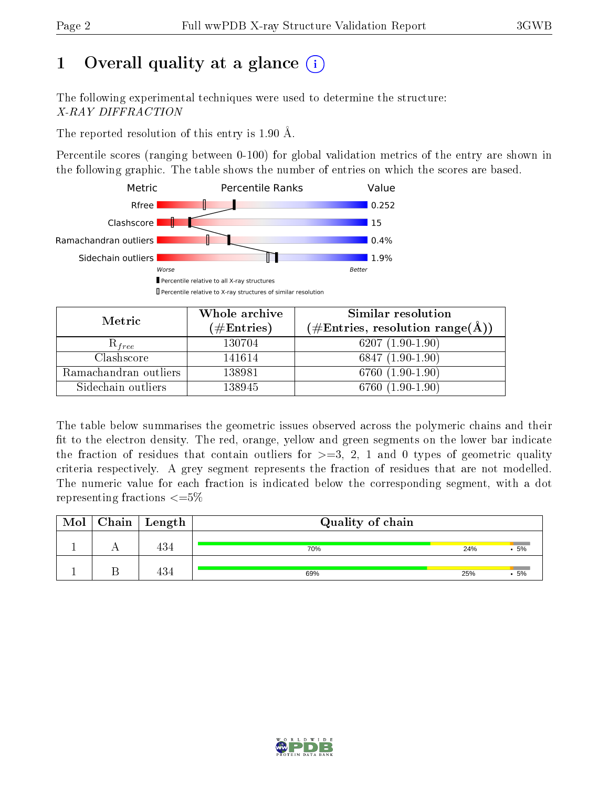# 1 [O](https://www.wwpdb.org/validation/2017/XrayValidationReportHelp#overall_quality)verall quality at a glance  $(i)$

The following experimental techniques were used to determine the structure: X-RAY DIFFRACTION

The reported resolution of this entry is 1.90 Å.

Percentile scores (ranging between 0-100) for global validation metrics of the entry are shown in the following graphic. The table shows the number of entries on which the scores are based.



| Metric                | Whole archive<br>$(\#\text{Entries})$ | Similar resolution<br>$(\#\text{Entries}, \text{resolution range}(\text{\AA}))$ |
|-----------------------|---------------------------------------|---------------------------------------------------------------------------------|
| $\kappa_{free}$       | 130704                                | $6207(1.90-1.90)$                                                               |
| Clashscore            | 141614                                | $6847(1.90-1.90)$                                                               |
| Ramachandran outliers | 138981                                | 6760 $(1.90-1.90)$                                                              |
| Sidechain outliers    | 138945                                | $(1.90\textrm{--}1.90)$<br>6760                                                 |

The table below summarises the geometric issues observed across the polymeric chains and their fit to the electron density. The red, orange, yellow and green segments on the lower bar indicate the fraction of residues that contain outliers for  $\geq=3$ , 2, 1 and 0 types of geometric quality criteria respectively. A grey segment represents the fraction of residues that are not modelled. The numeric value for each fraction is indicated below the corresponding segment, with a dot representing fractions  $\epsilon = 5\%$ 

| Mol | $\frac{1}{2}$ Chain   Length | Quality of chain |     |    |  |
|-----|------------------------------|------------------|-----|----|--|
|     | 434                          | 70%              | 24% | 5% |  |
|     | 434                          | 69%              | 25% | 5% |  |

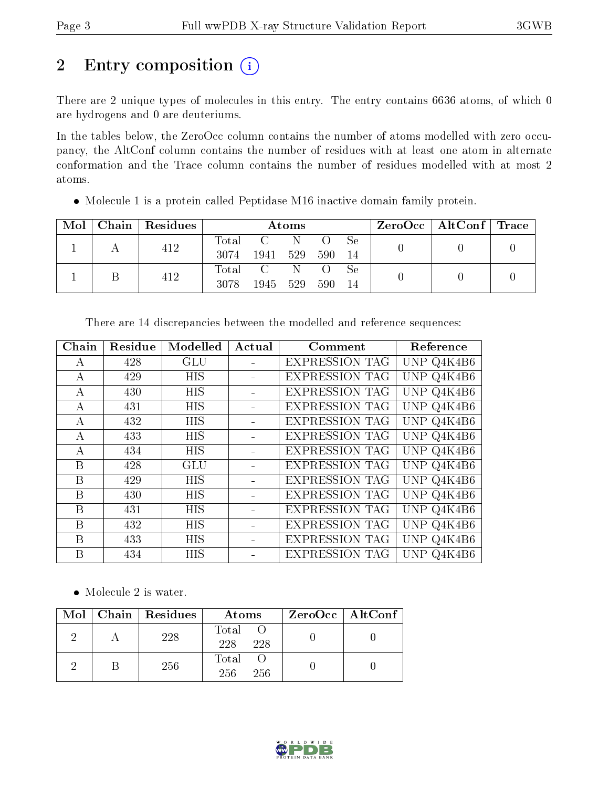# 2 Entry composition (i)

There are 2 unique types of molecules in this entry. The entry contains 6636 atoms, of which 0 are hydrogens and 0 are deuteriums.

In the tables below, the ZeroOcc column contains the number of atoms modelled with zero occupancy, the AltConf column contains the number of residues with at least one atom in alternate conformation and the Trace column contains the number of residues modelled with at most 2 atoms.

| $\text{Mol}$ |     | $\mid$ Chain $\mid$ Residues $\mid$ | Atoms       |             |     |  |      | $\text{ZeroOcc}$   AltConf   Trace |  |
|--------------|-----|-------------------------------------|-------------|-------------|-----|--|------|------------------------------------|--|
|              |     |                                     | Total C N O |             |     |  | - Se |                                    |  |
|              | 412 | 3074                                | 1941 529    |             | 590 |  |      |                                    |  |
|              |     |                                     |             | Total C N O |     |  | - Se |                                    |  |
|              | 412 | 3078                                | 1945        | 529         | 590 |  |      |                                    |  |

Molecule 1 is a protein called Peptidase M16 inactive domain family protein.

| Chain | Residue | Modelled   | Actual | Comment               | Reference  |
|-------|---------|------------|--------|-----------------------|------------|
| А     | 428     | <b>GLU</b> |        | <b>EXPRESSION TAG</b> | UNP Q4K4B6 |
| А     | 429     | <b>HIS</b> |        | <b>EXPRESSION TAG</b> | UNP Q4K4B6 |
| А     | 430     | <b>HIS</b> |        | <b>EXPRESSION TAG</b> | UNP Q4K4B6 |
| А     | 431     | HIS        |        | <b>EXPRESSION TAG</b> | UNP Q4K4B6 |
| A     | 432     | <b>HIS</b> |        | <b>EXPRESSION TAG</b> | UNP Q4K4B6 |
| А     | 433     | <b>HIS</b> |        | <b>EXPRESSION TAG</b> | UNP Q4K4B6 |
| А     | 434     | HIS        |        | <b>EXPRESSION TAG</b> | UNP Q4K4B6 |
| B     | 428     | GLU        |        | <b>EXPRESSION TAG</b> | UNP Q4K4B6 |
| B     | 429     | <b>HIS</b> |        | <b>EXPRESSION TAG</b> | UNP Q4K4B6 |
| B     | 430     | <b>HIS</b> |        | <b>EXPRESSION TAG</b> | UNP Q4K4B6 |
| B     | 431     | HIS        |        | <b>EXPRESSION TAG</b> | UNP Q4K4B6 |
| B     | 432     | <b>HIS</b> |        | <b>EXPRESSION TAG</b> | UNP Q4K4B6 |
| B     | 433     | HIS        |        | <b>EXPRESSION TAG</b> | UNP Q4K4B6 |
| B     | 434     | HIS        |        | <b>EXPRESSION TAG</b> | UNP Q4K4B6 |
|       |         |            |        |                       |            |

There are 14 discrepancies between the modelled and reference sequences:

• Molecule 2 is water.

|  | $Mol$   Chain   Residues | Atoms                 | ZeroOcc   AltConf |
|--|--------------------------|-----------------------|-------------------|
|  | 228                      | Total O<br>228<br>228 |                   |
|  | 256                      | Total<br>256<br>256   |                   |

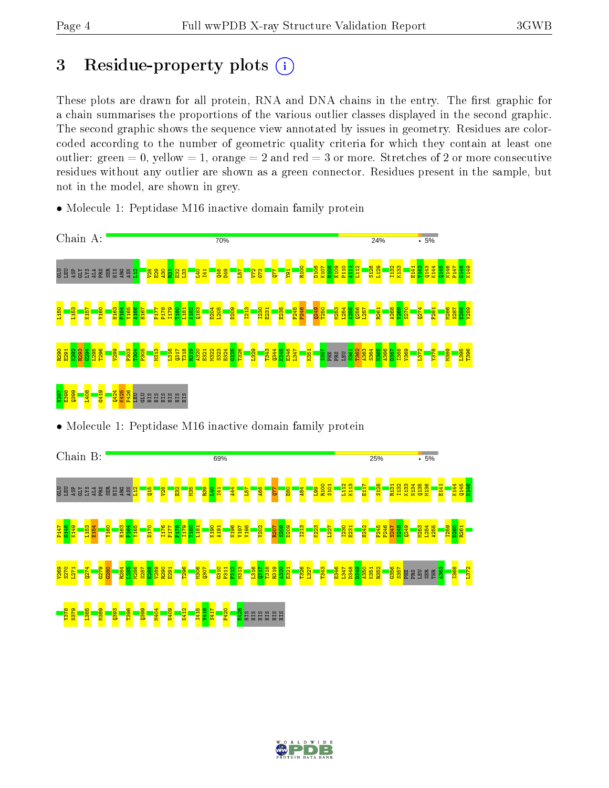# 3 Residue-property plots  $(i)$

These plots are drawn for all protein, RNA and DNA chains in the entry. The first graphic for a chain summarises the proportions of the various outlier classes displayed in the second graphic. The second graphic shows the sequence view annotated by issues in geometry. Residues are colorcoded according to the number of geometric quality criteria for which they contain at least one outlier: green  $= 0$ , yellow  $= 1$ , orange  $= 2$  and red  $= 3$  or more. Stretches of 2 or more consecutive residues without any outlier are shown as a green connector. Residues present in the sample, but not in the model, are shown in grey.

• Molecule 1: Peptidase M16 inactive domain family protein



• Molecule 1: Peptidase M16 inactive domain family protein



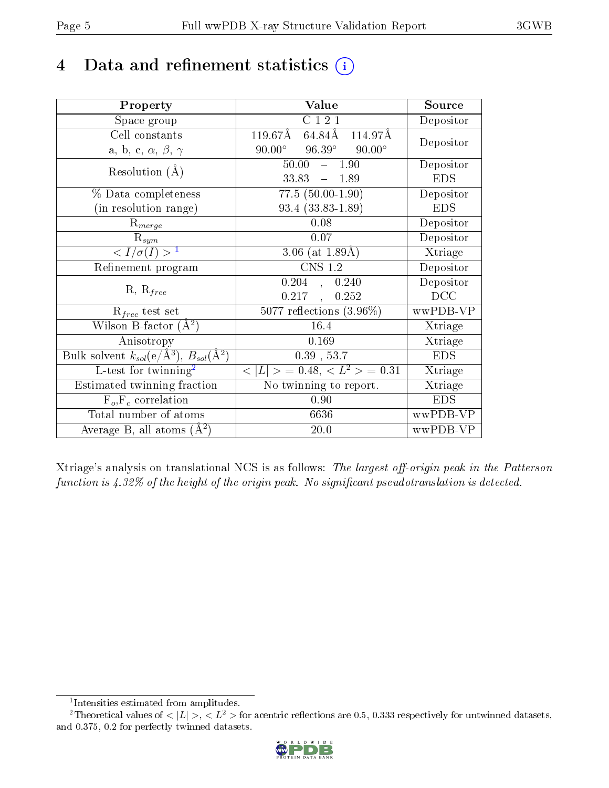# 4 Data and refinement statistics  $(i)$

| Property                                                                                      | Value                                               | Source                       |
|-----------------------------------------------------------------------------------------------|-----------------------------------------------------|------------------------------|
| Space group                                                                                   | C121                                                | Depositor                    |
| Cell constants                                                                                | $119.67$ Å<br>$64.84\text{\AA}$<br>114.97Å          | Depositor                    |
| a, b, c, $\alpha$ , $\beta$ , $\gamma$                                                        | $90.00^{\circ}$<br>$96.39^\circ$<br>$90.00^{\circ}$ |                              |
| Resolution $(A)$                                                                              | 50.00<br>1.90<br>$\equiv$ .                         | Depositor                    |
|                                                                                               | 33.83<br>$-1.89$                                    | <b>EDS</b>                   |
| % Data completeness                                                                           | $77.5(50.00-1.90)$                                  | Depositor                    |
| (in resolution range)                                                                         | 93.4 (33.83-1.89)                                   | <b>EDS</b>                   |
| $R_{merge}$                                                                                   | 0.08                                                | Depositor                    |
| $\mathrm{R}_{sym}$                                                                            | 0.07                                                | Depositor                    |
| $\langle I/\sigma(I) \rangle^{-1}$                                                            | 3.06 (at $1.89\text{\AA}$ )                         | Xtriage                      |
| Refinement program                                                                            | <b>CNS 1.2</b>                                      | Depositor                    |
|                                                                                               | 0.204<br>0.240<br>$\mathbf{A}$                      | Depositor                    |
| $R, R_{free}$                                                                                 | 0.217<br>0.252<br>$\frac{1}{2}$                     | DCC                          |
| $R_{free}$ test set                                                                           | 5077 reflections $(3.96\%)$                         | wwPDB-VP                     |
| Wilson B-factor $(A^2)$                                                                       | 16.4                                                | Xtriage                      |
| Anisotropy                                                                                    | 0.169                                               | Xtriage                      |
| $\overline {\rm Bulk}$ solvent $k_{sol} ( {\rm e}/\rm {\AA}^{3}), \, B_{sol} (\rm {\AA}^{2})$ | $0.39$ , 53.7                                       | <b>EDS</b>                   |
| $L$ -test for twinning <sup>2</sup>                                                           | $< L >$ = 0.48, $< L2 >$ = 0.31                     | Xtriage                      |
| <b>Estimated twinning fraction</b>                                                            | No twinning to report.                              | $\overline{\text{X}}$ triage |
| $\overline{F_o}, \overline{F_c}$ correlation                                                  | 0.90                                                | <b>EDS</b>                   |
| Total number of atoms                                                                         | 6636                                                | wwPDB-VP                     |
| Average B, all atoms $(A^2)$                                                                  | 20.0                                                | wwPDB-VP                     |

Xtriage's analysis on translational NCS is as follows: The largest off-origin peak in the Patterson function is  $4.32\%$  of the height of the origin peak. No significant pseudotranslation is detected.

<sup>&</sup>lt;sup>2</sup>Theoretical values of  $\langle |L| \rangle$ ,  $\langle L^2 \rangle$  for acentric reflections are 0.5, 0.333 respectively for untwinned datasets, and 0.375, 0.2 for perfectly twinned datasets.



<span id="page-4-1"></span><span id="page-4-0"></span><sup>1</sup> Intensities estimated from amplitudes.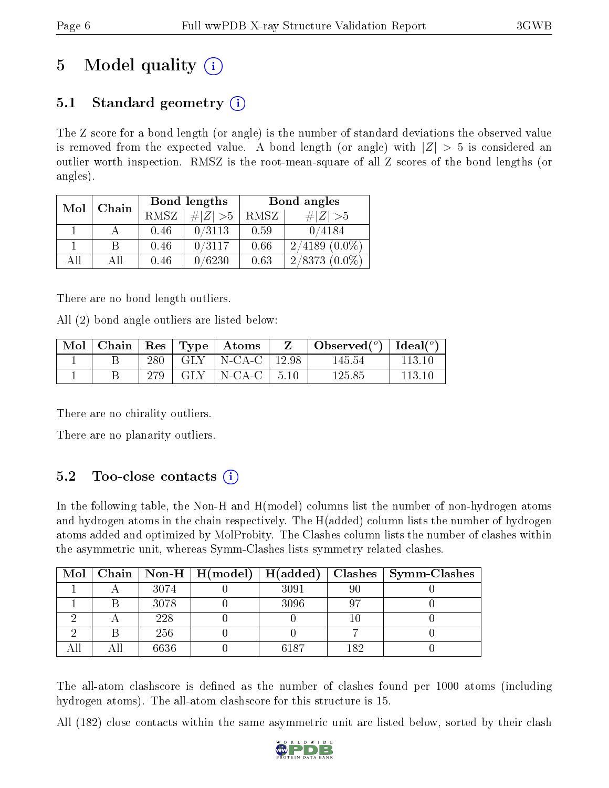# 5 Model quality  $(i)$

# 5.1 Standard geometry  $(i)$

The Z score for a bond length (or angle) is the number of standard deviations the observed value is removed from the expected value. A bond length (or angle) with  $|Z| > 5$  is considered an outlier worth inspection. RMSZ is the root-mean-square of all Z scores of the bond lengths (or angles).

| Mol | Chain |      | Bond lengths | Bond angles |                    |  |
|-----|-------|------|--------------|-------------|--------------------|--|
|     |       | RMSZ | # $ Z  > 5$  | RMSZ        | # Z  > 5           |  |
|     |       | 0.46 | 0/3113       | 0.59        | 0/4184             |  |
|     | B     | 0.46 | 0/3117       | 0.66        | $2/4189(0.0\%)$    |  |
| ΑĦ  | Αll   | 0.46 | 0/6230       | 0.63        | $2/8373$ $(0.0\%)$ |  |

There are no bond length outliers.

All (2) bond angle outliers are listed below:

| Mol | ⊤ Chain |     |       | $\Box$ Res $\mid$ Type $\mid$ Atoms |       | $\Box$ Observed $({}^o)$   Ideal $({}^o)$ |        |
|-----|---------|-----|-------|-------------------------------------|-------|-------------------------------------------|--------|
|     |         | 280 | . GLY | $\vdash$ N-CA-C $\vdash$            | 12.98 | 145.54                                    | 113.10 |
|     |         |     | GLY   | N-CA-C                              | 5.10  | 125.85                                    | 113.10 |

There are no chirality outliers.

There are no planarity outliers.

## $5.2$  Too-close contacts  $(i)$

In the following table, the Non-H and H(model) columns list the number of non-hydrogen atoms and hydrogen atoms in the chain respectively. The H(added) column lists the number of hydrogen atoms added and optimized by MolProbity. The Clashes column lists the number of clashes within the asymmetric unit, whereas Symm-Clashes lists symmetry related clashes.

|  |      |      |     | Mol   Chain   Non-H   H(model)   H(added)   Clashes   Symm-Clashes |
|--|------|------|-----|--------------------------------------------------------------------|
|  | 3074 | 3091 | 90  |                                                                    |
|  | 3078 | 3096 |     |                                                                    |
|  | 228  |      |     |                                                                    |
|  | 256  |      |     |                                                                    |
|  | 6636 | 6187 | 182 |                                                                    |

The all-atom clashscore is defined as the number of clashes found per 1000 atoms (including hydrogen atoms). The all-atom clashscore for this structure is 15.

All (182) close contacts within the same asymmetric unit are listed below, sorted by their clash

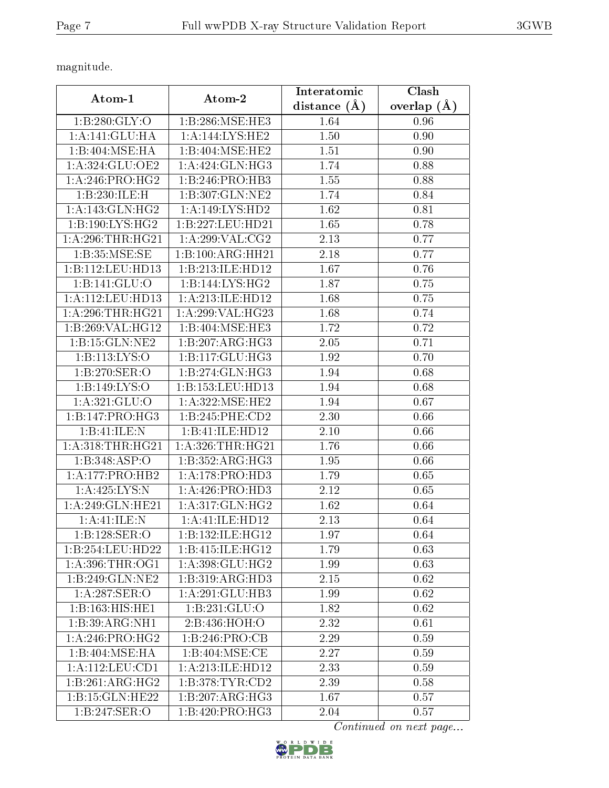magnitude.

|                                   | Atom-2                        | Interatomic    | Clash         |  |
|-----------------------------------|-------------------------------|----------------|---------------|--|
| Atom-1                            |                               | distance $(A)$ | overlap $(A)$ |  |
| 1: B:280: GLY:O                   | 1:B:286:MSE:HE3               | 1.64           | 0.96          |  |
| 1: A:141: GLU:HA                  | 1:A:144:LYS:HE2               | 1.50           | 0.90          |  |
| 1:B:404:MSE:HA                    | 1:B:404:MSE:HE2               | 1.51           | 0.90          |  |
| 1: A:324: GLU:OE2                 | 1: A: 424: GLN: HG3           | 1.74           | 0.88          |  |
| 1: A:246:PRO:HG2                  | 1:B:246:PRO:HB3               | 1.55           | 0.88          |  |
| 1:B:230:ILE:H                     | 1: B:307: GLN: NE2            | 1.74           | 0.84          |  |
| 1: A:143: GLN: HG2                | 1:A:149:LYS:HD2               | 1.62           | 0.81          |  |
| 1:B:190:LYS:HG2                   | 1:B:227:LEU:HD21              | 1.65           | 0.78          |  |
| 1: A:296:THR:HG21                 | 1: A:299: VAL: CG2            | 2.13           | 0.77          |  |
| 1:B:35:MSE:SE                     | 1:B:100:ARG:HH21              | 2.18           | 0.77          |  |
| 1:B:112:LEU:HD13                  | 1:B:213:ILE:HD12              | 1.67           | 0.76          |  |
| 1:B:141:GLU:O                     | 1:B:144:LYS:HG2               | 1.87           | 0.75          |  |
| $1:$ A:112:LEU:HD13               | 1:A:213:ILE:HD12              | 1.68           | 0.75          |  |
| 1: A:296:THR:HG21                 | 1:A:299:VAL:HG23              | 1.68           | 0.74          |  |
| 1:B:269:VAL:HG12                  | 1:B:404:MSE:HE3               | 1.72           | 0.72          |  |
| 1:B:15:GLN:NE2                    | 1:B:207:ARG:HG3               | 2.05           | 0.71          |  |
| 1:B:113:LYS:O                     | 1:B:117:GLU:HG3               | 1.92           | 0.70          |  |
| 1:B:270:SER:O                     | 1:B:274:GLN:HG3               | 1.94           | 0.68          |  |
| 1:B:149:LYS:O                     | 1:B:153:LEU:HD13              | 1.94           | 0.68          |  |
| 1: A:321: GLU:O                   | 1: A:322: MSE: HE2            | 1.94           | 0.67          |  |
| 1:B:147:PRO:HG3                   | 1:B:245:PHE:CD2               | 2.30           | 0.66          |  |
| 1:B:41:ILE:N                      | 1:B:41:ILE:HD12               | 2.10           | 0.66          |  |
| 1: A: 318: THR: HG21              | 1: A: 326: THR: HG21          | 1.76           | 0.66          |  |
| 1:B:348:ASP:O                     | 1:B:352:ARG:HG3               | 1.95           | 0.66          |  |
| 1: A: 177: PRO: HB2               | 1: A:178: PRO:HD3             | 1.79           | 0.65          |  |
| 1: A: 425: LYS:N                  | 1: A:426: PRO:HD3             | 2.12           | 0.65          |  |
| 1:A:249:GLN:HE21                  | 1: A:317: GLN: HG2            | 1.62           | 0.64          |  |
| 1:A:41:ILE:N                      | 1:A:41:ILE:HD12               | 2.13           | 0.64          |  |
| 1:B:128:SER:O                     | 1:B:132:ILE:HG12              | 1.97           | 0.64          |  |
| 1:B:254:LEU:HD22                  | 1:B:415:ILE:HG12              | 1.79           | 0.63          |  |
| 1: A:396:THR:OG1                  | 1: A:398: GLU: HG2            | 1.99           | 0.63          |  |
| 1:B:249:GLN:NE2                   | $1:B:319: \overline{ARG:HD3}$ | 2.15           | 0.62          |  |
| $1:A:287:\overline{\text{SER}:O}$ | 1:A:291:GLU:HB3               | 1.99           | 0.62          |  |
| 1:B:163:HIS:HE1                   | 1: B: 231: GLU:O              | 1.82           | 0.62          |  |
| 1:B:39:ARG:NH1                    | 2:B:436:HOH:O                 | 2.32           | 0.61          |  |
| 1: A:246:PRO:HG2                  | 1:B:246:PRO:CB                | 2.29           | 0.59          |  |
| 1:B:404:MSE:HA                    | 1:B:404:MSE:CE                | 2.27           | 0.59          |  |
| 1: A: 112: LEU: CD1               | 1:A:213:ILE:HD12              | 2.33           | 0.59          |  |
| 1:B:261:ARG:HG2                   | 1: B: 378: TYR: CD2           | 2.39           | 0.58          |  |
| 1:B:15:GLN:HE22                   | 1:B:207:ARG:HG3               | 1.67           | 0.57          |  |
| 1:B:247:SER:O                     | 1:B:420:PRO:HG3               | 2.04           | 0.57          |  |

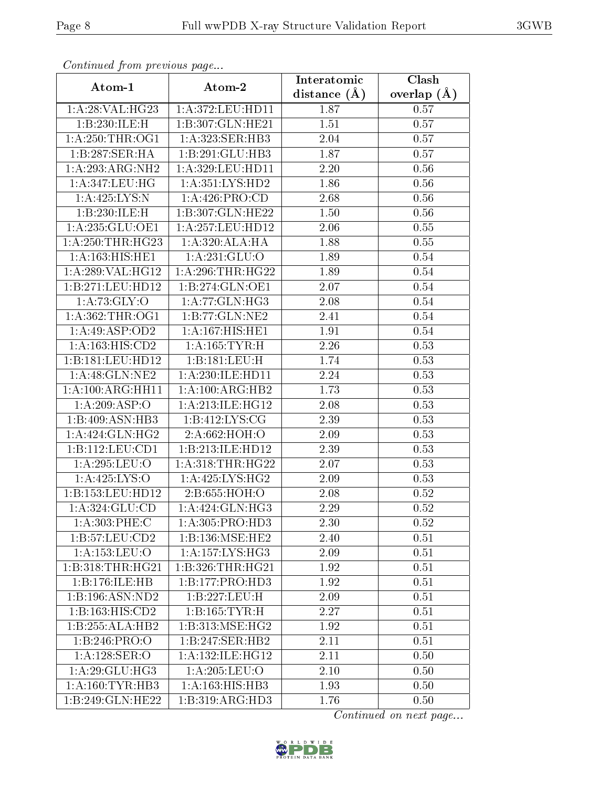| Comunaca jiom previous page       |                      | Interatomic    | $\overline{\text{Clash}}$ |
|-----------------------------------|----------------------|----------------|---------------------------|
| Atom-1                            | Atom-2               | distance $(A)$ | overlap $(A)$             |
| 1:A:28:VAL:HG23                   | 1:A:372:LEU:HD11     | 1.87           | 0.57                      |
| 1:B:230:ILE:H                     | 1:B:307:GLN:HE21     | 1.51           | 0.57                      |
| $1:$ A:250:THR:OG1                | 1:A:323:SER:HB3      | 2.04           | 0.57                      |
| $1:B:287:SER:H\overline{A}$       | 1:B:291:GLU:HB3      | 1.87           | 0.57                      |
| 1:A:293:ARG:NH2                   | 1:A:329:LEU:HD11     | 2.20           | 0.56                      |
| 1:A:347:LEU:HG                    | 1: A: 351: LYS: HD2  | 1.86           | 0.56                      |
| 1: A: 425: LYS:N                  | 1:A:426:PRO:CD       | 2.68           | 0.56                      |
| 1:B:230:ILE:H                     | 1:B:307:GLN:HE22     | 1.50           | 0.56                      |
| 1:A:235:GLU:OE1                   | 1:A:257:LEU:HD12     | 2.06           | 0.55                      |
| 1: A:250:THR:HG23                 | 1:A:320:ALA:HA       | 1.88           | 0.55                      |
| 1:A:163:HIS:HE1                   | 1: A: 231: GLU:O     | 1.89           | 0.54                      |
| 1:A:289:VAL:HG12                  | 1: A:296:THR:HG22    | 1.89           | 0.54                      |
| 1:B:271:LEU:HD12                  | 1:B:274:GLN:OE1      | 2.07           | 0.54                      |
| 1: A:73: GLY:O                    | 1:A:77:GLN:HG3       | 2.08           | 0.54                      |
| 1: A: 362: THR: OG1               | 1:B:77:GLN:NE2       | 2.41           | 0.54                      |
| 1:A:49:ASP:OD2                    | 1:A:167:HIS:HE1      | 1.91           | 0.54                      |
| 1:A:163:HIS:CD2                   | 1:A:165:TYR:H        | 2.26           | 0.53                      |
| 1:B:181:LEU:HD12                  | 1:B:181:LEU:H        | 1.74           | 0.53                      |
| 1: A:48: GLN: NE2                 | 1:A:230:ILE:HD11     | 2.24           | 0.53                      |
| 1:A:100:ARG:HH11                  | 1:A:100:ARG:HB2      | 1.73           | 0.53                      |
| 1: A:209: ASP:O                   | 1:A:213:ILE:HG12     | 2.08           | 0.53                      |
| 1:B:409:ASN:HB3                   | 1:B:412:LYS:CG       | 2.39           | 0.53                      |
| 1: A: 424: GLN: HG2               | 2:A:662:HOH:O        | 2.09           | 0.53                      |
| 1:B:112:LEU:CD1                   | 1:B:213:ILE:HD12     | 2.39           | 0.53                      |
| 1:A:295:LEU:O                     | 1: A:318:THR:HG22    | 2.07           | 0.53                      |
| 1: A: 425: LYS: O                 | $1:$ A:425:LYS:HG2   | 2.09           | 0.53                      |
| 1:B:153:LEU:HD12                  | 2:B:655:HOH:O        | 2.08           | 0.52                      |
| 1: A:324: GLU:CD                  | 1:A:424:GLN:HG3      | 2.29           | 0.52                      |
| 1: A:303: PHE: C                  | 1:A:305:PRO:HD3      | 2.30           | 0.52                      |
| 1:B:57:LEU:CD2                    | 1:B:136:MSE:HE2      | 2.40           | 0.51                      |
| 1: A: 153: LEU: O                 | 1: A: 157: LYS: HG3  | 2.09           | 0.51                      |
| 1:B:318:THR:HG21                  | 1:B:326:THR:HG21     | 1.92           | 0.51                      |
| 1:B:176:ILE:HB                    | 1:B:177:PRO:HD3      | 1.92           | 0.51                      |
| 1:B:196:ASN:ND2                   | 1:B:227:LEU:H        | 2.09           | 0.51                      |
| 1:B:163:HIS:CD2                   | 1:B:165:TYR:H        | 2.27           | 0.51                      |
| 1:B:255:ALA:HB2                   | 1:B:313:MSE:HG2      | 1.92           | 0.51                      |
| 1:B:246:PRO:O                     | 1:B:247:SER:HB2      | 2.11           | 0.51                      |
| $1:A:128:\overline{\text{SER}:O}$ | 1: A: 132: ILE: HG12 | 2.11           | 0.50                      |
| 1: A:29: GLU:HG3                  | 1: A:205:LEU:O       | 2.10           | 0.50                      |
| $1:A:160:TYR:H\overline{B3}$      | 1:A:163:HIS:HB3      | 1.93           | 0.50                      |
| 1:B:249:GLN:HE22                  | 1:B:319:ARG:HD3      | 1.76           | 0.50                      |

Continued from previous page.

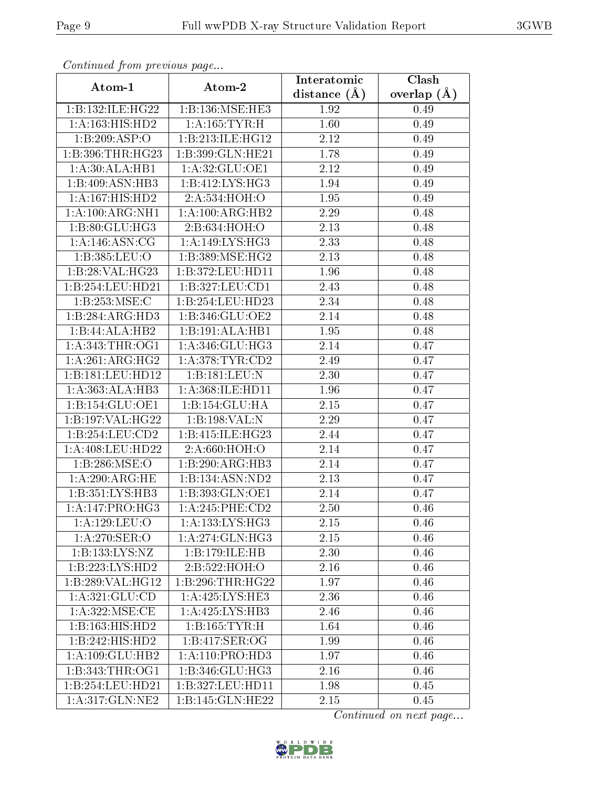| Continuea from previous page |                                       | Interatomic    | Clash         |
|------------------------------|---------------------------------------|----------------|---------------|
| Atom-1                       | Atom-2                                | distance $(A)$ | overlap $(A)$ |
| 1:B:132:ILE:HG22             | 1:B:136:MSE:HE3                       | 1.92           | 0.49          |
| 1: A: 163: HIS: HD2          | 1: A: 165: TYR:H                      | 1.60           | 0.49          |
| 1:B:209:ASP:O                | 1:B:213:ILE:HG12                      | 2.12           | 0.49          |
| 1:B:396:THR:HG23             | 1:B:399:GLN:HE21                      | 1.78           | 0.49          |
| 1:A:30:ALA:HB1               | 1:A:32:GLU:OE1                        | 2.12           | 0.49          |
| 1:B:409:ASN:HB3              | 1:B:412:LYS:HG3                       | 1.94           | 0.49          |
| 1:A:167:HIS:HD2              | 2:A:534:HOH:O                         | 1.95           | 0.49          |
| 1:A:100:ARG:NH1              | 1:A:100:ARG:HB2                       | 2.29           | 0.48          |
| 1:B:80:GLU:HG3               | 2:B:634:HOH:O                         | 2.13           | 0.48          |
| 1: A:146: ASN:CG             | 1:A:149:LYS:HG3                       | 2.33           | 0.48          |
| 1:B:385:LEU:O                | 1:B:389:MSE:HG2                       | 2.13           | 0.48          |
| 1:B:28:VAL:HG23              | 1:B:372:LEU:HD11                      | 1.96           | 0.48          |
| 1:B:254:LEU:HD21             | 1:B:327:LEU:CD1                       | 2.43           | 0.48          |
| 1:B:253:MSE:C                | 1:B:254:LEU:HD23                      | 2.34           | 0.48          |
| 1:B:284:ARG:HD3              | 1:B:346:GLU:OE2                       | 2.14           | 0.48          |
| 1:B:44:ALA:HB2               | 1:B:191:ALA:HB1                       | 1.95           | 0.48          |
| 1: A:343:THR:OG1             | 1: A:346: GLU:HG3                     | 2.14           | 0.47          |
| $1:A:261:ARG:H\overline{G2}$ | 1: A:378: TYR: CD2                    | 2.49           | 0.47          |
| 1:B:181:LEU:HD12             | 1:B:181:LEU:N                         | 2.30           | 0.47          |
| 1:A:363:ALA:HB3              | 1:A:368:ILE:HD11                      | 1.96           | 0.47          |
| 1:B:154:GLU:OE1              | 1:B:154:GLU:HA                        | 2.15           | 0.47          |
| 1:B:197:VAL:HG22             | 1:B:198:VAL:N                         | 2.29           | 0.47          |
| 1:B:254:LEU:CD2              | 1:B:415:ILE:HG23                      | 2.44           | 0.47          |
| 1:A:408:LEU:HD22             | 2:A:660:HOH:O                         | 2.14           | 0.47          |
| 1:B:286:MSE:O                | 1:B:290:ARG:HB3                       | 2.14           | 0.47          |
| 1:A:290:ARG:HE               | 1:B:134:ASN:ND2                       | 2.13           | 0.47          |
| 1:B:351:LYS:HB3              | 1:B:393:GLN:OE1                       | 2.14           | 0.47          |
| 1:A:147:PRO:HG3              | 1:A:245:PHE:CD2                       | $2.50\,$       | 0.46          |
| 1:A:129:LEU:O                | 1:A:133:LYS:HG3                       | 2.15           | 0.46          |
| 1:A:270:SER:O                | 1:A:274:GLN:HG3                       | 2.15           | 0.46          |
| 1:B:133:LYS:NZ               | 1:B:179:ILE:HB                        | 2.30           | 0.46          |
| 1:B:223:LYS:HD2              | 2:B:522:HOH:O                         | 2.16           | 0.46          |
| 1:B:289:VAL:HG12             | 1:B:296:THR:HG22                      | 1.97           | 0.46          |
| 1: A:321: GLU:CD             | 1: A:425: LYS: HE3                    | 2.36           | 0.46          |
| 1: A:322: MSE:CE             | 1: A:425: LYS:HB3                     | 2.46           | 0.46          |
| 1:B:163:HIS:HD2              | 1:B:165:TYR:H                         | 1.64           | 0.46          |
| 1:B:242:HIS:HD2              | 1: B: 417: SER: OG                    | 1.99           | 0.46          |
| 1:A:109:GLU:HB2              | $1:A:110:P\overline{\mathrm{RO:HD3}}$ | 1.97           | 0.46          |
| 1:B:343:THR:OG1              | 1:B:346:GLU:HG3                       | 2.16           | 0.46          |
| 1:B:254:LEU:HD21             | 1:B:327:LEU:HD11                      | 1.98           | 0.45          |
| 1: A:317: GLN: NE2           | 1:B:145:GLN:HE22                      | 2.15           | 0.45          |

Continued from previous page.

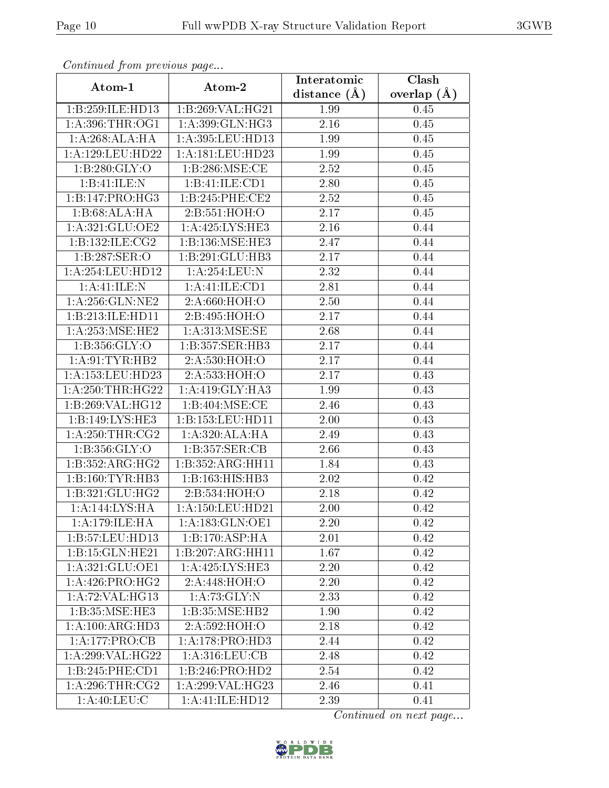| сонинией јтот ртеvious раде |                     | Interatomic    | Clash         |
|-----------------------------|---------------------|----------------|---------------|
| Atom-1                      | Atom-2              | distance $(A)$ | overlap $(A)$ |
| 1:B:259:ILE:HD13            | 1:B:269:VAL:HG21    | 1.99           | 0.45          |
| 1: A:396:THR:OG1            | 1:A:399:GLN:HG3     | 2.16           | 0.45          |
| 1: A:268:ALA:HA             | 1:A:395:LEU:HD13    | 1.99           | 0.45          |
| 1:A:129:LEU:HD22            | 1:A:181:LEU:HD23    | 1.99           | 0.45          |
| 1: B:280: GLY:O             | 1: B:286: MSE:CE    | 2.52           | 0.45          |
| 1:B:41:ILE:N                | 1:B:41:ILE:CD1      | 2.80           | 0.45          |
| 1:B:147:PRO:HG3             | 1:B:245:PHE:CE2     | 2.52           | 0.45          |
| 1:B:68:ALA:HA               | 2:B:551:HOH:O       | 2.17           | 0.45          |
| 1:A:321:GLU:OE2             | 1:A:425:LYS:HE3     | 2.16           | 0.44          |
| 1:B:132:ILE:CG2             | 1:B:136:MSE:HE3     | 2.47           | 0.44          |
| 1:B:287:SER:O               | 1:B:291:GLU:HB3     | $2.17\,$       | 0.44          |
| 1:A:254:LEU:HD12            | 1: A:254:LEU: N     | 2.32           | 0.44          |
| 1:A:41:ILE:N                | 1: A: 41: ILE: CD1  | 2.81           | 0.44          |
| 1: A:256: GLN:NE2           | 2:A:660:HOH:O       | 2.50           | 0.44          |
| 1:B:213:ILE:HD11            | 2:B:495:HOH:O       | 2.17           | 0.44          |
| 1:A:253:MSE:HE2             | 1: A:313:MSE:SE     | 2.68           | 0.44          |
| 1: B: 356: GLY:O            | 1:B:357:SER:HB3     | 2.17           | 0.44          |
| 1: A:91:TYR:HB2             | 2:A:530:HOH:O       | 2.17           | 0.44          |
| 1:A:153:LEU:HD23            | 2:A:533:HOH:O       | 2.17           | 0.43          |
| 1: A:250:THR:HG22           | 1: A:419: GLY:HA3   | 1.99           | 0.43          |
| 1:B:269:VAL:HG12            | 1:B:404:MSE:CE      | 2.46           | 0.43          |
| 1:B:149:LYS:HE3             | 1:B:153:LEU:HD11    | 2.00           | 0.43          |
| 1: A:250:THR:CG2            | 1:A:320:ALA:HA      | 2.49           | 0.43          |
| 1: B: 356: GLY:O            | 1:B:357:SER:CB      | 2.66           | 0.43          |
| 1:B:352:ARG:HG2             | 1:B:352:ARG:HH11    | 1.84           | 0.43          |
| 1:B:160:TYR:HB3             | 1:B:163:HIS:HB3     | 2.02           | 0.42          |
| 1:B:321:GLU:HG2             | 2:B:534:HOH:O       | 2.18           | 0.42          |
| 1:A:144:LYS:HA              | $1:$ A:150:LEU:HD21 | 2.00           | 0.42          |
| 1: A:179: ILE: HA           | 1:A:183:GLN:OE1     | 2.20           | 0.42          |
| 1:B:57:LEU:HD13             | 1:B:170:ASP:HA      | 2.01           | 0.42          |
| 1:B:15:GLN:HE21             | 1:B:207:ARG:HH11    | 1.67           | 0.42          |
| 1: A:321: GLU:OE1           | 1: A:425: LYS: HE3  | 2.20           | 0.42          |
| 1: A:426: PRO:HG2           | 2:A:448:HOH:O       | 2.20           | 0.42          |
| 1:A:72:VAL:HG13             | 1:A:73:GLY:N        | 2.33           | 0.42          |
| 1:B:35:MSE:HE3              | 1:B:35:MSE:HB2      | 1.90           | 0.42          |
| 1:A:100:ARG:HD3             | 2:A:592:HOH:O       | 2.18           | 0.42          |
| 1:A:177:PRO:CB              | 1: A:178: PRO:HD3   | 2.44           | 0.42          |
| 1:A:299:VAL:HG22            | 1:A:316:LEU:CB      | 2.48           | 0.42          |
| 1:B:245:PHE:CD1             | 1:B:246:PRO:HD2     | 2.54           | 0.42          |
| 1: A:296:THR:CG2            | $1:$ A:299:VAL:HG23 | 2.46           | 0.41          |
| 1: A:40: LEU: C             | 1:A:41:ILE:HD12     | 2.39           | 0.41          |

Continued from previous page.

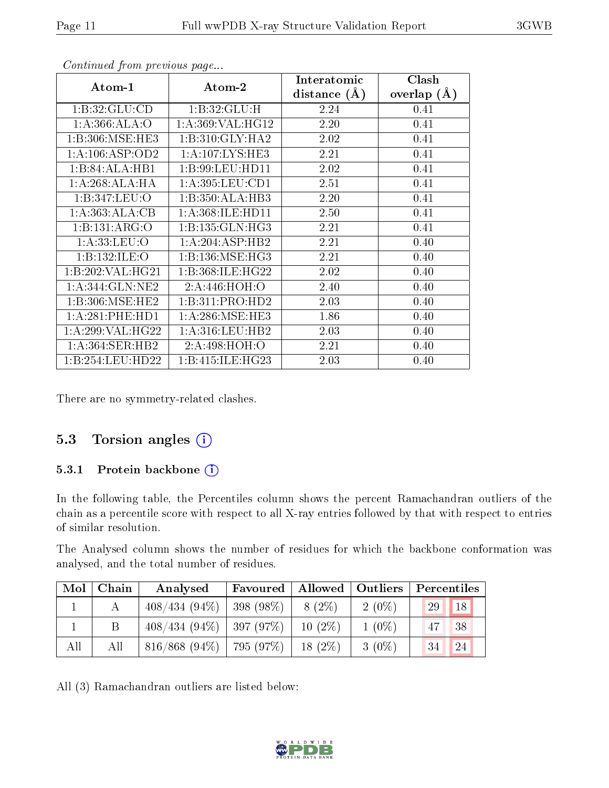| Atom-1           | Atom-2               | Interatomic<br>distance $(A)$ | Clash<br>overlap $(A)$ |
|------------------|----------------------|-------------------------------|------------------------|
| 1: B:32: GLU:CD  | 1:B:32:GLU:H         | 2.24                          | 0.41                   |
| 1: A:366: ALA:O  | 1:A:369:VAL:HG12     | 2.20                          | 0.41                   |
| 1:B:306:MSE:HE3  | 1:B:310:GLY:HA2      | 2.02                          | 0.41                   |
| 1:A:106:ASP:OD2  | 1: A: 107: LYS: HE3  | 2.21                          | 0.41                   |
| 1:B:84:ALA:HB1   | 1:B:99:LEU:HD11      | 2.02                          | 0.41                   |
| 1: A:268:ALA:HA  | 1: A:395:LEU:CD1     | 2.51                          | 0.41                   |
| 1:B:347:LEU:O    | 1:B:350:ALA:HB3      | 2.20                          | 0.41                   |
| 1: A: 363:ALA:CB | 1: A: 368: ILE: HD11 | 2.50                          | 0.41                   |
| 1:B:131:ARG:O    | 1: B: 135: GLN: HG3  | 2.21                          | 0.41                   |
| 1: A: 33: LEU: O | 1:A:204:ASP:HB2      | 2.21                          | 0.40                   |
| 1:B:132:ILE:O    | 1:B:136:MSE:HG3      | 2.21                          | 0.40                   |
| 1:B:202:VAL:HG21 | 1:B:368:ILE:HG22     | 2.02                          | 0.40                   |
| 1:A:344:GLN:NE2  | 2:A:446:HOH:O        | 2.40                          | 0.40                   |
| 1:B:306:MSE:HE2  | 1:B:311:PRO:HD2      | 2.03                          | 0.40                   |
| 1: A:281:PHE:HD1 | 1: A:286:MSE:HE3     | 1.86                          | 0.40                   |
| 1:A:299:VAL:HG22 | 1: A:316:LEU:HB2     | 2.03                          | 0.40                   |
| 1:A:364:SER:HB2  | 2:A:498:HOH:O        | 2.21                          | 0.40                   |
| 1:B:254:LEU:HD22 | 1:B:415:ILE:HG23     | 2.03                          | 0.40                   |

Continued from previous page...

There are no symmetry-related clashes.

#### 5.3 Torsion angles  $(i)$

#### 5.3.1 Protein backbone (i)

In the following table, the Percentiles column shows the percent Ramachandran outliers of the chain as a percentile score with respect to all X-ray entries followed by that with respect to entries of similar resolution.

The Analysed column shows the number of residues for which the backbone conformation was analysed, and the total number of residues.

| Mol | Chain | Analysed                      | Favoured   Allowed   Outliers |           |          | $\mid$ Percentiles |
|-----|-------|-------------------------------|-------------------------------|-----------|----------|--------------------|
|     |       | $408/434$ (94\%)   398 (98\%) |                               | 8 (2\%)   | $2(0\%)$ | 29<br>18           |
|     |       | $408/434$ (94\%)   397 (97\%) |                               | $10(2\%)$ | $1(0\%)$ | 38<br>47           |
| All | All   | $816/868$ (94\%)   795 (97\%) |                               | $18(2\%)$ | $3(0\%)$ | 24<br>$\sqrt{34}$  |

All (3) Ramachandran outliers are listed below:

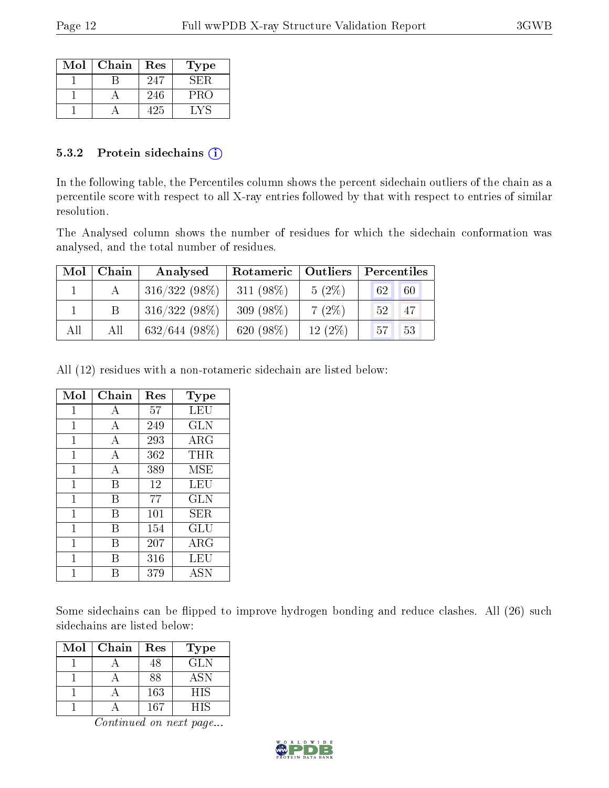| Mol | Chain | Res | Type |
|-----|-------|-----|------|
|     |       | 247 | SER. |
|     |       | 246 | PRO  |
|     |       | 425 |      |

#### 5.3.2 Protein sidechains  $(i)$

In the following table, the Percentiles column shows the percent sidechain outliers of the chain as a percentile score with respect to all X-ray entries followed by that with respect to entries of similar resolution.

The Analysed column shows the number of residues for which the sidechain conformation was analysed, and the total number of residues.

| Mol | Chain | Analysed         | Rotameric   Outliers |           | Percentiles |
|-----|-------|------------------|----------------------|-----------|-------------|
|     |       | $316/322(98\%)$  | $311(98\%)$          | $5(2\%)$  | 60<br>62    |
|     |       | $316/322(98\%)$  | 309 $(98\%)$         | 7(2%)     | 47<br>52    |
| All | All   | $632/644$ (98\%) | 620 $(98\%)$         | $12(2\%)$ | 53<br>57    |

All (12) residues with a non-rotameric sidechain are listed below:

| Mol          | Chain          | Res | $_{\rm Type}$ |
|--------------|----------------|-----|---------------|
| 1            | А              | 57  | LEU           |
| 1            | А              | 249 | <b>GLN</b>    |
| $\mathbf 1$  | А              | 293 | ARG           |
| $\mathbf{1}$ | $\overline{A}$ | 362 | THR           |
| 1            | $\overline{A}$ | 389 | <b>MSE</b>    |
| 1            | В              | 12  | LEU           |
| $\mathbf{1}$ | В              | 77  | <b>GLN</b>    |
| $\mathbf{1}$ | В              | 101 | SER           |
| 1            | В              | 154 | GLU           |
| 1            | В              | 207 | <b>ARG</b>    |
| 1            | В              | 316 | LEU           |
|              | R              | 379 | <b>ASN</b>    |

Some sidechains can be flipped to improve hydrogen bonding and reduce clashes. All (26) such sidechains are listed below:

| Mol | Chain | Res | Type       |
|-----|-------|-----|------------|
|     |       | 48  | <b>GLN</b> |
|     |       | 88  | <b>ASN</b> |
|     |       | 163 | HIS        |
|     |       | 167 | НIS        |

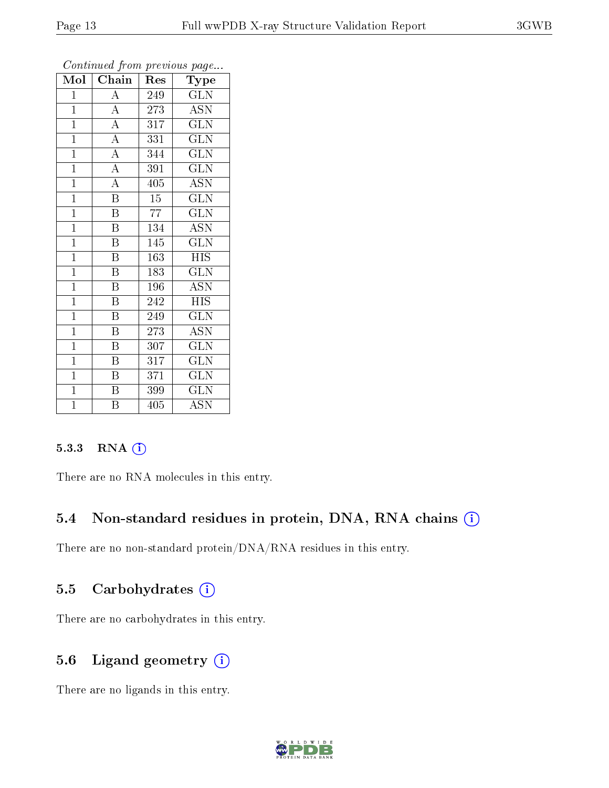|                         |                         |                  | ັ                         |
|-------------------------|-------------------------|------------------|---------------------------|
| $\overline{\text{Mol}}$ | Chain                   | Res              | Type                      |
| $\mathbf 1$             | $\boldsymbol{A}$        | 249              | <b>GLN</b>                |
| $\mathbf{1}$            | $\overline{A}$          | 273              | <b>ASN</b>                |
| $\overline{1}$          | $\overline{A}$          | 317              | $\overline{\text{GLN}}$   |
| $\overline{1}$          | $\overline{A}$          | 331              | <b>GLN</b>                |
| $\overline{1}$          | $\overline{A}$          | 344              | <b>GLN</b>                |
| $\mathbf{1}$            | $\overline{\rm A}$      | $39\overline{1}$ | <b>GLN</b>                |
| $\mathbf{1}$            | $\overline{\rm A}$      | 405              | <b>ASN</b>                |
| $\mathbf{1}$            | $\overline{\text{B}}$   | $\overline{15}$  | GLN                       |
| $\overline{1}$          | $\, {\bf B}$            | 77               | <b>GLN</b>                |
| $\mathbf{1}$            | B                       | $\overline{1}34$ | $\overline{\mathrm{ASN}}$ |
| $\overline{1}$          | $\overline{B}$          | 145              | $\overline{\text{GLN}}$   |
| $\mathbf{1}$            | B                       | 163              | <b>HIS</b>                |
| $\overline{1}$          | $\boldsymbol{B}$        | 183              | <b>GLN</b>                |
| $\mathbf{1}$            | B                       | 196              | <b>ASN</b>                |
| $\mathbf{1}$            | B                       | 242              | <b>HIS</b>                |
| $\mathbf{1}$            | $\overline{\mathrm{B}}$ | 249              | $\overline{\text{GLN}}$   |
| $\overline{1}$          | $\overline{\mathrm{B}}$ | 273              | $\overline{\mathrm{ASN}}$ |
| $\mathbf{1}$            | B                       | 307              | <b>GLN</b>                |
| $\mathbf{1}$            | $\boldsymbol{B}$        | 317              | <b>GLN</b>                |
| $\mathbf{1}$            | B                       | 371              | <b>GLN</b>                |
| $\overline{1}$          | $\, {\bf B}$            | 399              | <b>GLN</b>                |
| $\overline{1}$          | $\overline{\mathrm{B}}$ | $\overline{405}$ | $\overline{\mathrm{ASN}}$ |

Continued from previous page...

#### 5.3.3 RNA [O](https://www.wwpdb.org/validation/2017/XrayValidationReportHelp#rna)i

There are no RNA molecules in this entry.

### 5.4 Non-standard residues in protein, DNA, RNA chains (i)

There are no non-standard protein/DNA/RNA residues in this entry.

#### 5.5 Carbohydrates (i)

There are no carbohydrates in this entry.

### 5.6 Ligand geometry (i)

There are no ligands in this entry.

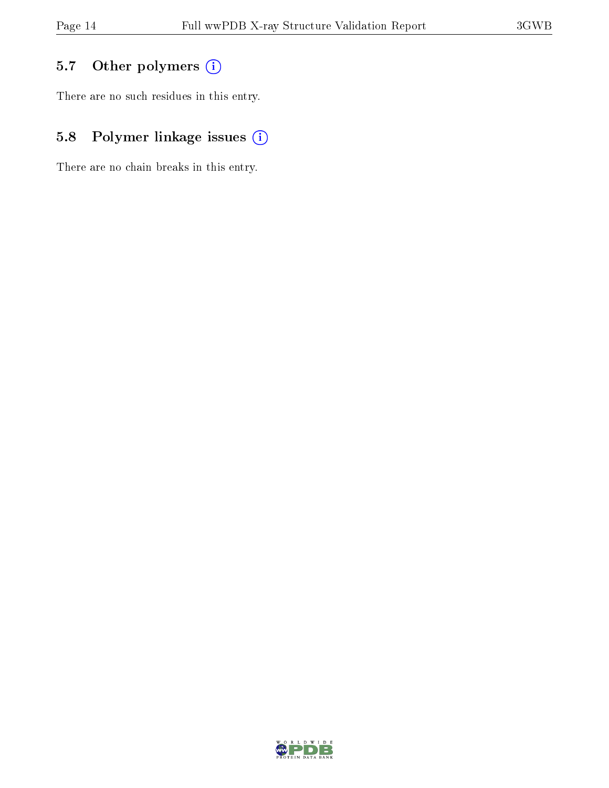# 5.7 [O](https://www.wwpdb.org/validation/2017/XrayValidationReportHelp#nonstandard_residues_and_ligands)ther polymers (i)

There are no such residues in this entry.

# 5.8 Polymer linkage issues (i)

There are no chain breaks in this entry.